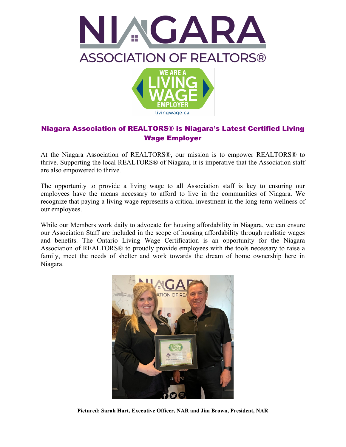



## Niagara Association of REALTORS® is Niagara's Latest Certified Living Wage Employer

At the Niagara Association of REALTORS®, our mission is to empower REALTORS® to thrive. Supporting the local REALTORS® of Niagara, it is imperative that the Association staff are also empowered to thrive.

The opportunity to provide a living wage to all Association staff is key to ensuring our employees have the means necessary to afford to live in the communities of Niagara. We recognize that paying a living wage represents a critical investment in the long-term wellness of our employees.

While our Members work daily to advocate for housing affordability in Niagara, we can ensure our Association Staff are included in the scope of housing affordability through realistic wages and benefits. The Ontario Living Wage Certification is an opportunity for the Niagara Association of REALTORS® to proudly provide employees with the tools necessary to raise a family, meet the needs of shelter and work towards the dream of home ownership here in Niagara.



**Pictured: Sarah Hart, Executive Officer, NAR and Jim Brown, President, NAR**